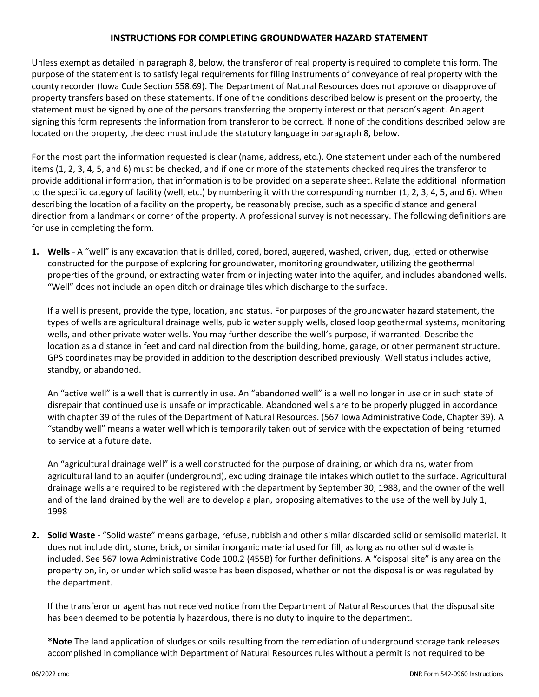## **INSTRUCTIONS FOR COMPLETING GROUNDWATER HAZARD STATEMENT**

Unless exempt as detailed in paragraph 8, below, the transferor of real property is required to complete this form. The purpose of the statement is to satisfy legal requirements for filing instruments of conveyance of real property with the county recorder (Iowa Code Section 558.69). The Department of Natural Resources does not approve or disapprove of property transfers based on these statements. If one of the conditions described below is present on the property, the statement must be signed by one of the persons transferring the property interest or that person's agent. An agent signing this form represents the information from transferor to be correct. If none of the conditions described below are located on the property, the deed must include the statutory language in paragraph 8, below.

For the most part the information requested is clear (name, address, etc.). One statement under each of the numbered items (1, 2, 3, 4, 5, and 6) must be checked, and if one or more of the statements checked requires the transferor to provide additional information, that information is to be provided on a separate sheet. Relate the additional information to the specific category of facility (well, etc.) by numbering it with the corresponding number (1, 2, 3, 4, 5, and 6). When describing the location of a facility on the property, be reasonably precise, such as a specific distance and general direction from a landmark or corner of the property. A professional survey is not necessary. The following definitions are for use in completing the form.

**1. Wells** - A "well" is any excavation that is drilled, cored, bored, augered, washed, driven, dug, jetted or otherwise constructed for the purpose of exploring for groundwater, monitoring groundwater, utilizing the geothermal properties of the ground, or extracting water from or injecting water into the aquifer, and includes abandoned wells. "Well" does not include an open ditch or drainage tiles which discharge to the surface.

If a well is present, provide the type, location, and status. For purposes of the groundwater hazard statement, the types of wells are agricultural drainage wells, public water supply wells, closed loop geothermal systems, monitoring wells, and other private water wells. You may further describe the well's purpose, if warranted. Describe the location as a distance in feet and cardinal direction from the building, home, garage, or other permanent structure. GPS coordinates may be provided in addition to the description described previously. Well status includes active, standby, or abandoned.

An "active well" is a well that is currently in use. An "abandoned well" is a well no longer in use or in such state of disrepair that continued use is unsafe or impracticable. Abandoned wells are to be properly plugged in accordance with chapter 39 of the rules of the Department of Natural Resources. (567 Iowa Administrative Code, Chapter 39). A "standby well" means a water well which is temporarily taken out of service with the expectation of being returned to service at a future date.

An "agricultural drainage well" is a well constructed for the purpose of draining, or which drains, water from agricultural land to an aquifer (underground), excluding drainage tile intakes which outlet to the surface. Agricultural drainage wells are required to be registered with the department by September 30, 1988, and the owner of the well and of the land drained by the well are to develop a plan, proposing alternatives to the use of the well by July 1, 1998

**2. Solid Waste** - "Solid waste" means garbage, refuse, rubbish and other similar discarded solid or semisolid material. It does not include dirt, stone, brick, or similar inorganic material used for fill, as long as no other solid waste is included. See 567 Iowa Administrative Code 100.2 (455B) for further definitions. A "disposal site" is any area on the property on, in, or under which solid waste has been disposed, whether or not the disposal is or was regulated by the department.

If the transferor or agent has not received notice from the Department of Natural Resources that the disposal site has been deemed to be potentially hazardous, there is no duty to inquire to the department.

**\*Note** The land application of sludges or soils resulting from the remediation of underground storage tank releases accomplished in compliance with Department of Natural Resources rules without a permit is not required to be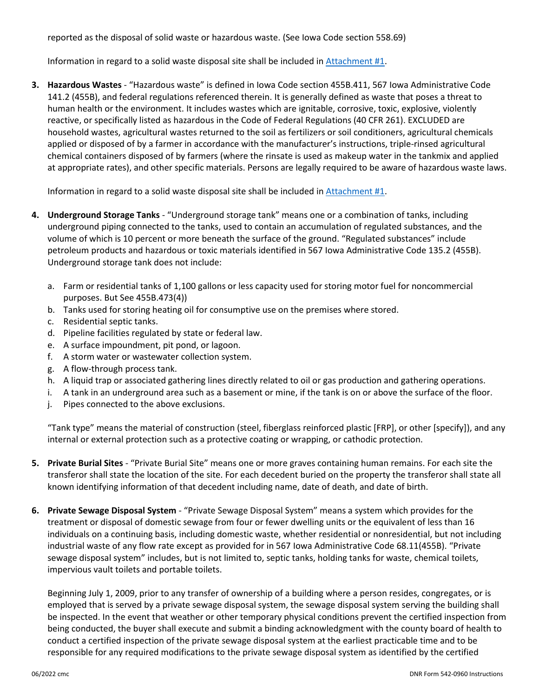reported as the disposal of solid waste or hazardous waste. (See Iowa Code section 558.69)

Information in regard to a solid waste disposal site shall be included in [Attachment #1.](https://www.iowadnr.gov/Portals/idnr/uploads/forms/5420960a.pdf)

**3. Hazardous Wastes** - "Hazardous waste" is defined in Iowa Code section 455B.411, 567 Iowa Administrative Code 141.2 (455B), and federal regulations referenced therein. It is generally defined as waste that poses a threat to human health or the environment. It includes wastes which are ignitable, corrosive, toxic, explosive, violently reactive, or specifically listed as hazardous in the Code of Federal Regulations (40 CFR 261). EXCLUDED are household wastes, agricultural wastes returned to the soil as fertilizers or soil conditioners, agricultural chemicals applied or disposed of by a farmer in accordance with the manufacturer's instructions, triple-rinsed agricultural chemical containers disposed of by farmers (where the rinsate is used as makeup water in the tankmix and applied at appropriate rates), and other specific materials. Persons are legally required to be aware of hazardous waste laws.

Information in regard to a solid waste disposal site shall be included in [Attachment #1.](https://www.iowadnr.gov/Portals/idnr/uploads/forms/5420960a.pdf)

- **4. Underground Storage Tanks** "Underground storage tank" means one or a combination of tanks, including underground piping connected to the tanks, used to contain an accumulation of regulated substances, and the volume of which is 10 percent or more beneath the surface of the ground. "Regulated substances" include petroleum products and hazardous or toxic materials identified in 567 Iowa Administrative Code 135.2 (455B). Underground storage tank does not include:
	- a. Farm or residential tanks of 1,100 gallons or less capacity used for storing motor fuel for noncommercial purposes. But See 455B.473(4))
	- b. Tanks used for storing heating oil for consumptive use on the premises where stored.
	- c. Residential septic tanks.
	- d. Pipeline facilities regulated by state or federal law.
	- e. A surface impoundment, pit pond, or lagoon.
	- f. A storm water or wastewater collection system.
	- g. A flow-through process tank.
	- h. A liquid trap or associated gathering lines directly related to oil or gas production and gathering operations.
	- i. A tank in an underground area such as a basement or mine, if the tank is on or above the surface of the floor.
	- j. Pipes connected to the above exclusions.

"Tank type" means the material of construction (steel, fiberglass reinforced plastic [FRP], or other [specify]), and any internal or external protection such as a protective coating or wrapping, or cathodic protection.

- **5. Private Burial Sites** "Private Burial Site" means one or more graves containing human remains. For each site the transferor shall state the location of the site. For each decedent buried on the property the transferor shall state all known identifying information of that decedent including name, date of death, and date of birth.
- **6. Private Sewage Disposal System** "Private Sewage Disposal System" means a system which provides for the treatment or disposal of domestic sewage from four or fewer dwelling units or the equivalent of less than 16 individuals on a continuing basis, including domestic waste, whether residential or nonresidential, but not including industrial waste of any flow rate except as provided for in 567 Iowa Administrative Code 68.11(455B). "Private sewage disposal system" includes, but is not limited to, septic tanks, holding tanks for waste, chemical toilets, impervious vault toilets and portable toilets.

Beginning July 1, 2009, prior to any transfer of ownership of a building where a person resides, congregates, or is employed that is served by a private sewage disposal system, the sewage disposal system serving the building shall be inspected. In the event that weather or other temporary physical conditions prevent the certified inspection from being conducted, the buyer shall execute and submit a binding acknowledgment with the county board of health to conduct a certified inspection of the private sewage disposal system at the earliest practicable time and to be responsible for any required modifications to the private sewage disposal system as identified by the certified